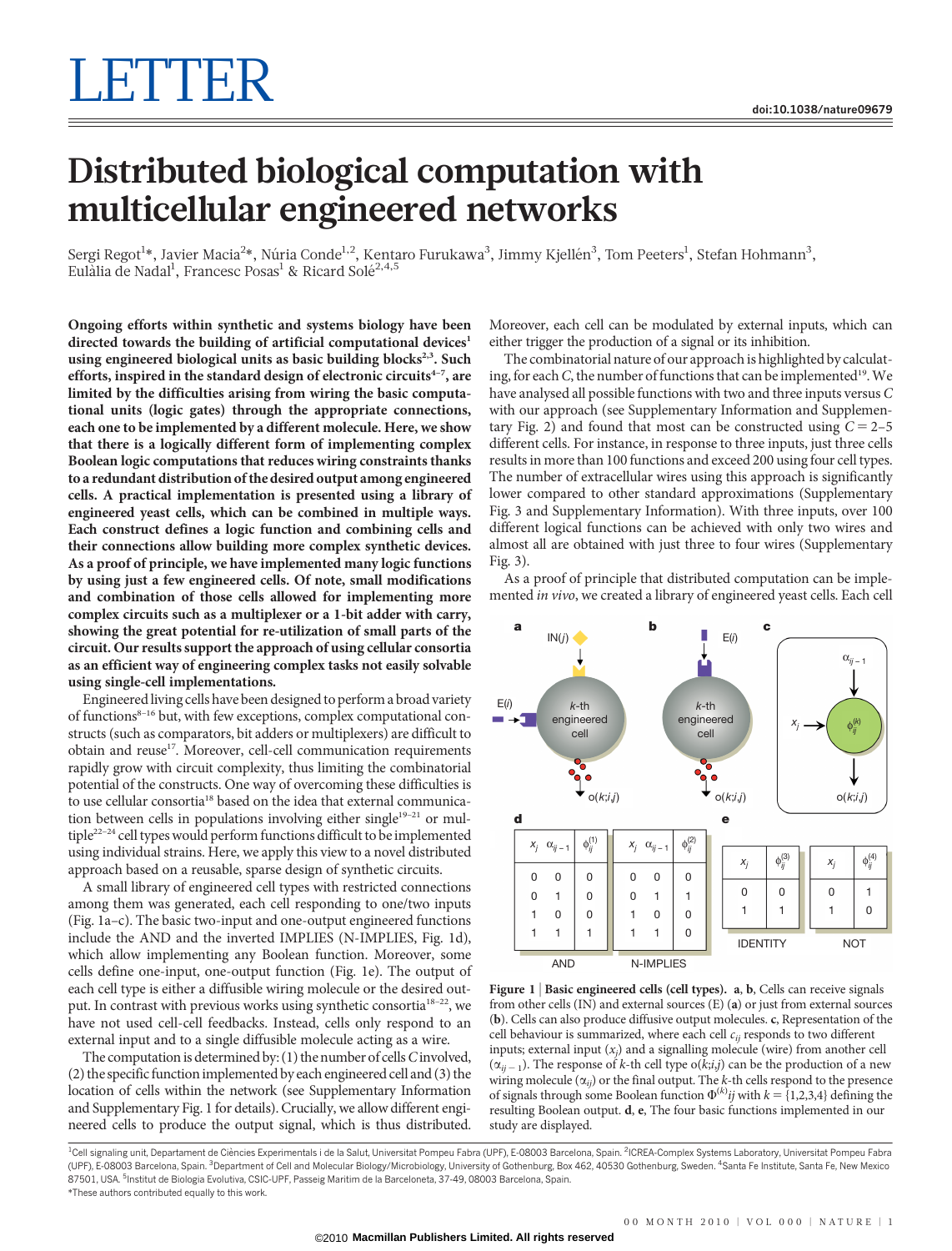## Distributed biological computation with multicellular engineered networks

Sergi Regot<sup>1</sup>\*, Javier Macia<sup>2</sup>\*, Núria Conde<sup>1,2</sup>, Kentaro Furukawa<sup>3</sup>, Jimmy Kjellén<sup>3</sup>, Tom Peeters<sup>1</sup>, Stefan Hohmann<sup>3</sup>, Eulàlia de Nadal<sup>1</sup>, Francesc Posas<sup>1</sup> & Ricard Solé<sup>2,4,5</sup>

Ongoing efforts within synthetic and systems biology have been directed towards the building of artificial computational devices<sup>1</sup> using engineered biological units as basic building blocks<sup>2,3</sup>. Such efforts, inspired in the standard design of electronic circuits $4-7$ , are limited by the difficulties arising from wiring the basic computational units (logic gates) through the appropriate connections, each one to be implemented by a different molecule. Here, we show that there is a logically different form of implementing complex Boolean logic computations that reduces wiring constraints thanks to a redundant distribution of the desired output among engineered cells. A practical implementation is presented using a library of engineered yeast cells, which can be combined in multiple ways. Each construct defines a logic function and combining cells and their connections allow building more complex synthetic devices. As a proof of principle, we have implemented many logic functions by using just a few engineered cells. Of note, small modifications and combination of those cells allowed for implementing more complex circuits such as a multiplexer or a 1-bit adder with carry, showing the great potential for re-utilization of small parts of the circuit. Our results support the approach of using cellular consortia as an efficient way of engineering complex tasks not easily solvable using single-cell implementations.

Engineered living cells have been designed to perform a broad variety of functions<sup>8-16</sup> but, with few exceptions, complex computational constructs (such as comparators, bit adders or multiplexers) are difficult to obtain and reuse<sup>17</sup>. Moreover, cell-cell communication requirements rapidly grow with circuit complexity, thus limiting the combinatorial potential of the constructs. One way of overcoming these difficulties is to use cellular consortia<sup>18</sup> based on the idea that external communication between cells in populations involving either single<sup>19-21</sup> or multiple22–24 cell types would perform functions difficult to be implemented using individual strains. Here, we apply this view to a novel distributed approach based on a reusable, sparse design of synthetic circuits.

A small library of engineered cell types with restricted connections among them was generated, each cell responding to one/two inputs (Fig. 1a–c). The basic two-input and one-output engineered functions include the AND and the inverted IMPLIES (N-IMPLIES, Fig. 1d), which allow implementing any Boolean function. Moreover, some cells define one-input, one-output function (Fig. 1e). The output of each cell type is either a diffusible wiring molecule or the desired output. In contrast with previous works using synthetic consortia18–22, we have not used cell-cell feedbacks. Instead, cells only respond to an external input and to a single diffusible molecule acting as a wire.

The computation is determined by:  $(1)$  the number of cells  $C$  involved, (2) the specific function implemented by each engineered cell and (3) the location of cells within the network (see Supplementary Information and Supplementary Fig. 1 for details). Crucially, we allow different engineered cells to produce the output signal, which is thus distributed.

Moreover, each cell can be modulated by external inputs, which can either trigger the production of a signal or its inhibition.

The combinatorial nature of our approach is highlighted by calculating, for each C, the number of functions that can be implemented<sup>19</sup>. We have analysed all possible functions with two and three inputs versus C with our approach (see Supplementary Information and Supplementary Fig. 2) and found that most can be constructed using  $C = 2-5$ different cells. For instance, in response to three inputs, just three cells results in more than 100 functions and exceed 200 using four cell types. The number of extracellular wires using this approach is significantly lower compared to other standard approximations (Supplementary Fig. 3 and Supplementary Information). With three inputs, over 100 different logical functions can be achieved with only two wires and almost all are obtained with just three to four wires (Supplementary Fig. 3).

As a proof of principle that distributed computation can be implemented in vivo, we created a library of engineered yeast cells. Each cell



Figure 1 | Basic engineered cells (cell types). a, b, Cells can receive signals from other cells (IN) and external sources (E) (a) or just from external sources (b). Cells can also produce diffusive output molecules. c, Representation of the cell behaviour is summarized, where each cell  $c_{ij}$  responds to two different inputs; external input  $(x_j)$  and a signalling molecule (wire) from another cell  $(\alpha_{ij-1})$ . The response of k-th cell type o(k;i,j) can be the production of a new wiring molecule  $(\alpha_{ij})$  or the final output. The k-th cells respond to the presence of signals through some Boolean function  $\Phi^{(k)}$  *ij* with  $k = \{1,2,3,4\}$  defining the resulting Boolean output. d, e, The four basic functions implemented in our study are displayed.

\*These authors contributed equally to this work. <sup>1</sup>Cell signaling unit, Departament de Ciències Experimentals i de la Salut, Universitat Pompeu Fabra (UPF), E-08003 Barcelona, Spain. <sup>2</sup>ICREA-Complex Systems Laboratory, Universitat Pompeu Fabra (UPF), E-08003 Barcelona, Spain. <sup>3</sup>Department of Cell and Molecular Biology/Microbiology, University of Gothenburg, Box 462, 40530 Gothenburg, Sweden. <sup>4</sup>Santa Fe Institute, Santa Fe, New Mexicc 87501, USA. <sup>5</sup>Institut de Biologia Evolutiva, CSIC-UPF, Passeig Maritim de la Barceloneta, 37-49, 08003 Barcelona, Spain.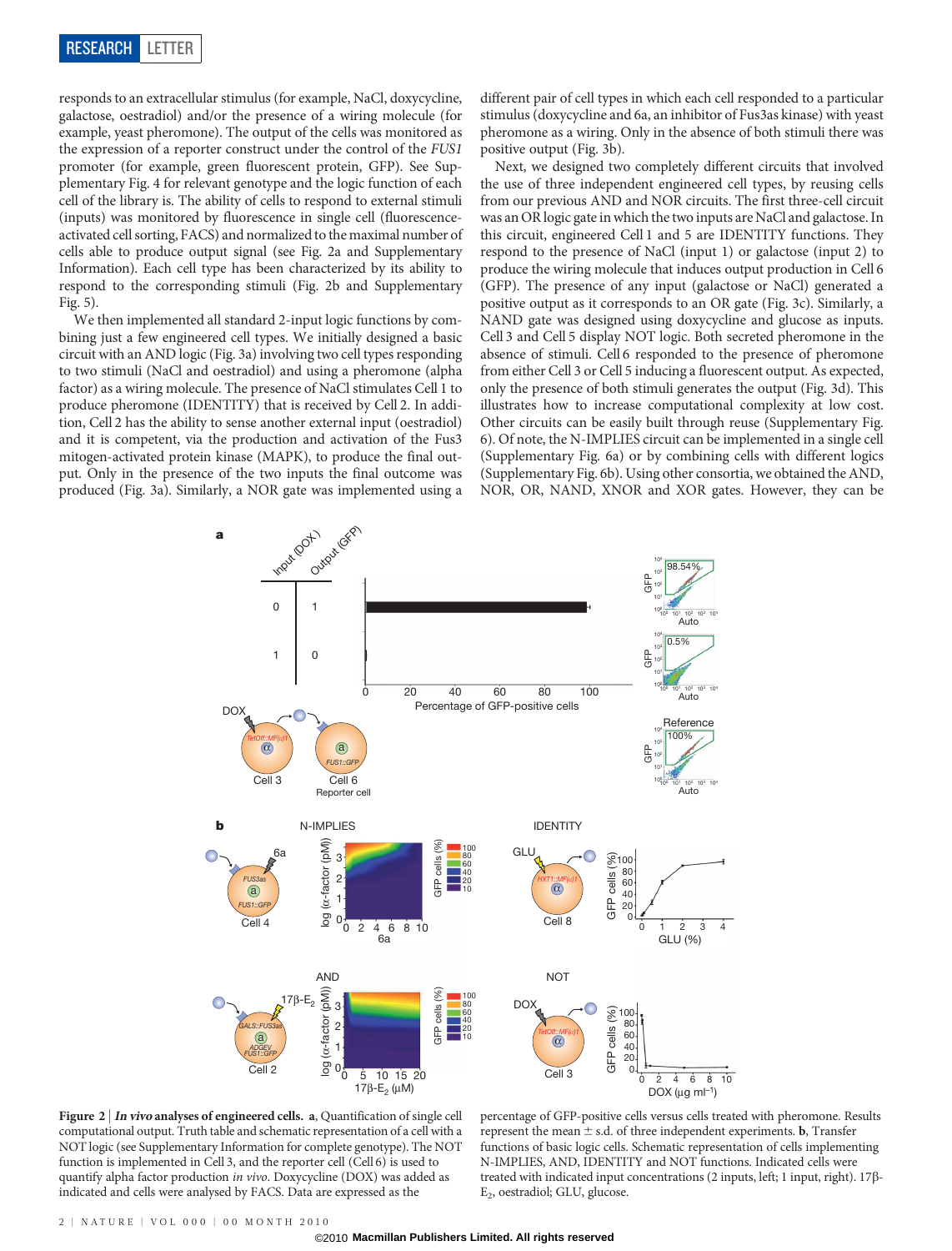responds to an extracellular stimulus (for example, NaCl, doxycycline, galactose, oestradiol) and/or the presence of a wiring molecule (for example, yeast pheromone). The output of the cells was monitored as the expression of a reporter construct under the control of the FUS1 promoter (for example, green fluorescent protein, GFP). See Supplementary Fig. 4 for relevant genotype and the logic function of each cell of the library is. The ability of cells to respond to external stimuli (inputs) was monitored by fluorescence in single cell (fluorescenceactivated cell sorting, FACS) and normalized to the maximal number of cells able to produce output signal (see Fig. 2a and Supplementary Information). Each cell type has been characterized by its ability to respond to the corresponding stimuli (Fig. 2b and Supplementary Fig. 5).

We then implemented all standard 2-input logic functions by combining just a few engineered cell types. We initially designed a basic circuit with an AND logic (Fig. 3a) involving two cell types responding to two stimuli (NaCl and oestradiol) and using a pheromone (alpha factor) as a wiring molecule. The presence of NaCl stimulates Cell 1 to produce pheromone (IDENTITY) that is received by Cell 2. In addition, Cell 2 has the ability to sense another external input (oestradiol) and it is competent, via the production and activation of the Fus3 mitogen-activated protein kinase (MAPK), to produce the final output. Only in the presence of the two inputs the final outcome was produced (Fig. 3a). Similarly, a NOR gate was implemented using a different pair of cell types in which each cell responded to a particular stimulus (doxycycline and 6a, an inhibitor of Fus3as kinase) with yeast pheromone as a wiring. Only in the absence of both stimuli there was positive output (Fig. 3b).

Next, we designed two completely different circuits that involved the use of three independent engineered cell types, by reusing cells from our previous AND and NOR circuits. The first three-cell circuit was an OR logic gate in which the two inputs are NaCl and galactose. In this circuit, engineered Cell 1 and 5 are IDENTITY functions. They respond to the presence of NaCl (input 1) or galactose (input 2) to produce the wiring molecule that induces output production in Cell 6 (GFP). The presence of any input (galactose or NaCl) generated a positive output as it corresponds to an OR gate (Fig. 3c). Similarly, a NAND gate was designed using doxycycline and glucose as inputs. Cell 3 and Cell 5 display NOT logic. Both secreted pheromone in the absence of stimuli. Cell 6 responded to the presence of pheromone from either Cell 3 or Cell 5 inducing a fluorescent output. As expected, only the presence of both stimuli generates the output (Fig. 3d). This illustrates how to increase computational complexity at low cost. Other circuits can be easily built through reuse (Supplementary Fig. 6). Of note, the N-IMPLIES circuit can be implemented in a single cell (Supplementary Fig. 6a) or by combining cells with different logics (Supplementary Fig. 6b). Using other consortia, we obtained the AND, NOR, OR, NAND, XNOR and XOR gates. However, they can be



Figure 2 | In vivo analyses of engineered cells. a, Quantification of single cell computational output. Truth table and schematic representation of a cell with a NOT logic (see Supplementary Information for complete genotype). The NOT function is implemented in Cell 3, and the reporter cell (Cell 6) is used to quantify alpha factor production in vivo. Doxycycline (DOX) was added as indicated and cells were analysed by FACS. Data are expressed as the

percentage of GFP-positive cells versus cells treated with pheromone. Results represent the mean  $\pm$  s.d. of three independent experiments. **b**, Transfer functions of basic logic cells. Schematic representation of cells implementing N-IMPLIES, AND, IDENTITY and NOT functions. Indicated cells were treated with indicated input concentrations (2 inputs, left; 1 input, right). 17 $\beta$ -E2, oestradiol; GLU, glucose.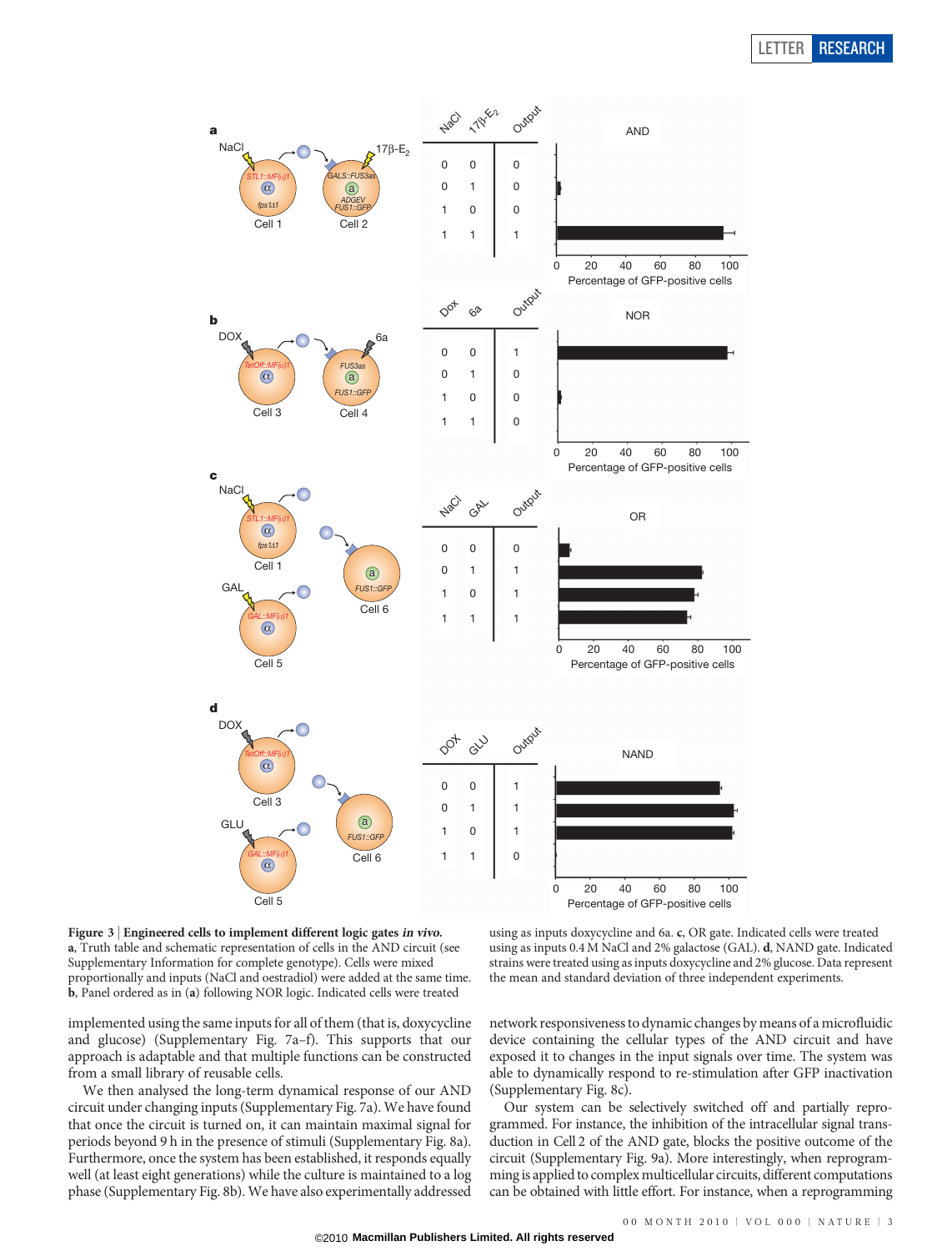## LETTER RESEARCH



Figure 3 <sup>|</sup> Engineered cells to implement different logic gates in vivo. a, Truth table and schematic representation of cells in the AND circuit (see Supplementary Information for complete genotype). Cells were mixed proportionally and inputs (NaCl and oestradiol) were added at the same time. b, Panel ordered as in (a) following NOR logic. Indicated cells were treated

implemented using the same inputs for all of them (that is, doxycycline and glucose) (Supplementary Fig. 7a–f). This supports that our approach is adaptable and that multiple functions can be constructed from a small library of reusable cells.

We then analysed the long-term dynamical response of our AND circuit under changing inputs (Supplementary Fig. 7a). We have found that once the circuit is turned on, it can maintain maximal signal for periods beyond 9 h in the presence of stimuli (Supplementary Fig. 8a). Furthermore, once the system has been established, it responds equally well (at least eight generations) while the culture is maintained to a log phase (Supplementary Fig. 8b). We have also experimentally addressed

using as inputs doxycycline and 6a. c, OR gate. Indicated cells were treated using as inputs 0.4M NaCl and 2% galactose (GAL). d, NAND gate. Indicated strains were treated using as inputs doxycycline and 2% glucose. Data represent the mean and standard deviation of three independent experiments.

network responsiveness to dynamic changes by means of a microfluidic device containing the cellular types of the AND circuit and have exposed it to changes in the input signals over time. The system was able to dynamically respond to re-stimulation after GFP inactivation (Supplementary Fig. 8c).

Our system can be selectively switched off and partially reprogrammed. For instance, the inhibition of the intracellular signal transduction in Cell 2 of the AND gate, blocks the positive outcome of the circuit (Supplementary Fig. 9a). More interestingly, when reprogramming is applied to complex multicellular circuits, different computations can be obtained with little effort. For instance, when a reprogramming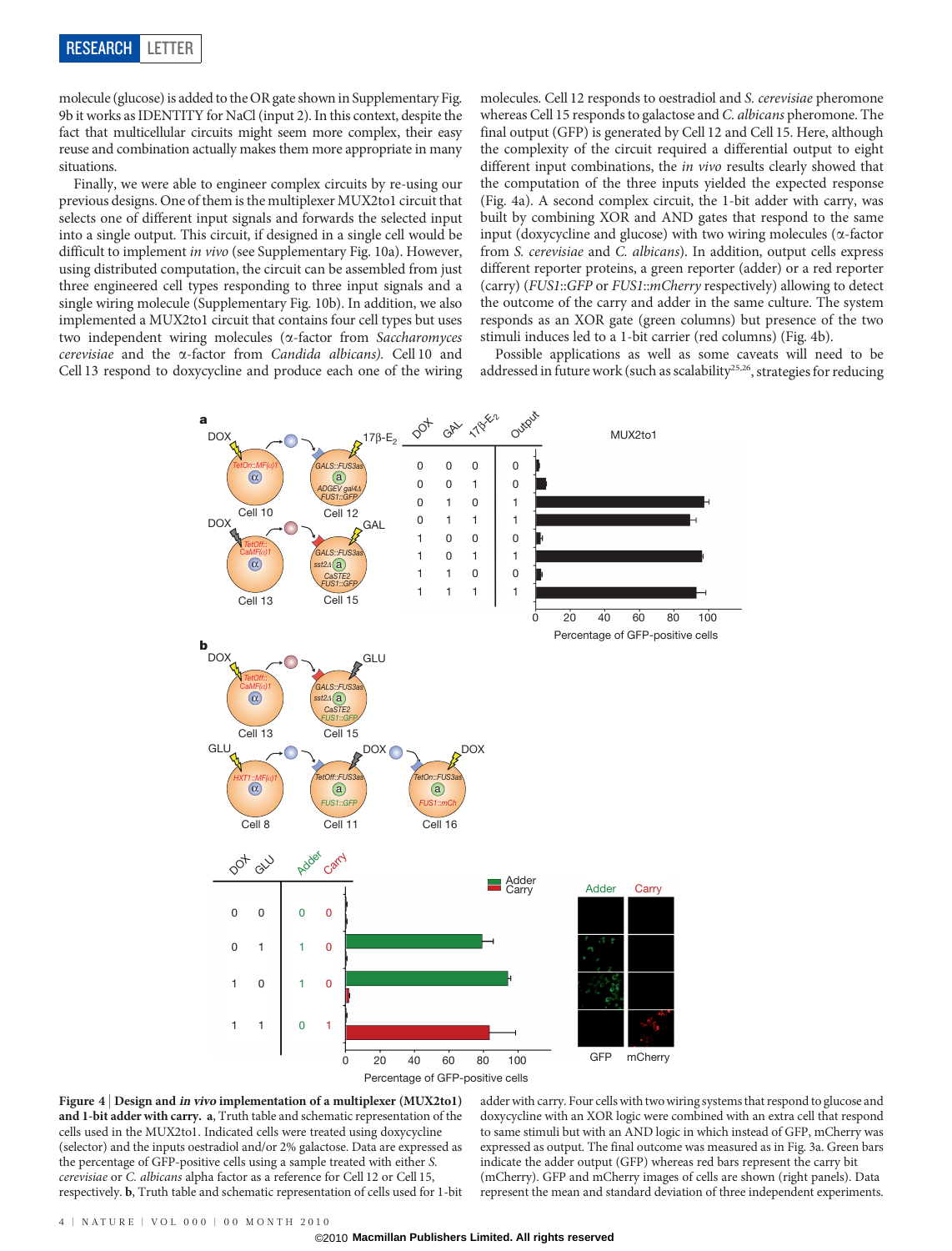molecule (glucose) is added to the OR gate shown in Supplementary Fig. 9b it works as IDENTITY for NaCl (input 2). In this context, despite the fact that multicellular circuits might seem more complex, their easy reuse and combination actually makes them more appropriate in many situations.

Finally, we were able to engineer complex circuits by re-using our previous designs. One of them is the multiplexer MUX2to1 circuit that selects one of different input signals and forwards the selected input into a single output. This circuit, if designed in a single cell would be difficult to implement in vivo (see Supplementary Fig. 10a). However, using distributed computation, the circuit can be assembled from just three engineered cell types responding to three input signals and a single wiring molecule (Supplementary Fig. 10b). In addition, we also implemented a MUX2to1 circuit that contains four cell types but uses two independent wiring molecules (a-factor from Saccharomyces cerevisiae and the a-factor from Candida albicans). Cell 10 and Cell 13 respond to doxycycline and produce each one of the wiring

molecules. Cell 12 responds to oestradiol and S. cerevisiae pheromone whereas Cell 15 responds to galactose and C. albicans pheromone. The final output (GFP) is generated by Cell 12 and Cell 15. Here, although the complexity of the circuit required a differential output to eight different input combinations, the in vivo results clearly showed that the computation of the three inputs yielded the expected response (Fig. 4a). A second complex circuit, the 1-bit adder with carry, was built by combining XOR and AND gates that respond to the same input (doxycycline and glucose) with two wiring molecules ( $\alpha$ -factor from S. cerevisiae and C. albicans). In addition, output cells express different reporter proteins, a green reporter (adder) or a red reporter (carry) (FUS1::GFP or FUS1::mCherry respectively) allowing to detect the outcome of the carry and adder in the same culture. The system responds as an XOR gate (green columns) but presence of the two stimuli induces led to a 1-bit carrier (red columns) (Fig. 4b).

Possible applications as well as some caveats will need to be addressed in future work (such as scalability<sup>25,26</sup>, strategies for reducing



Figure 4 <sup>|</sup> Design and in vivo implementation of a multiplexer (MUX2to1) and 1-bit adder with carry. a, Truth table and schematic representation of the cells used in the MUX2to1. Indicated cells were treated using doxycycline (selector) and the inputs oestradiol and/or 2% galactose. Data are expressed as the percentage of GFP-positive cells using a sample treated with either S. cerevisiae or C. albicans alpha factor as a reference for Cell 12 or Cell 15, respectively. b, Truth table and schematic representation of cells used for 1-bit

adder with carry. Four cells with two wiring systems that respond to glucose and doxycycline with an XOR logic were combined with an extra cell that respond to same stimuli but with an AND logic in which instead of GFP, mCherry was expressed as output. The final outcome was measured as in Fig. 3a. Green bars indicate the adder output (GFP) whereas red bars represent the carry bit (mCherry). GFP and mCherry images of cells are shown (right panels). Data represent the mean and standard deviation of three independent experiments.